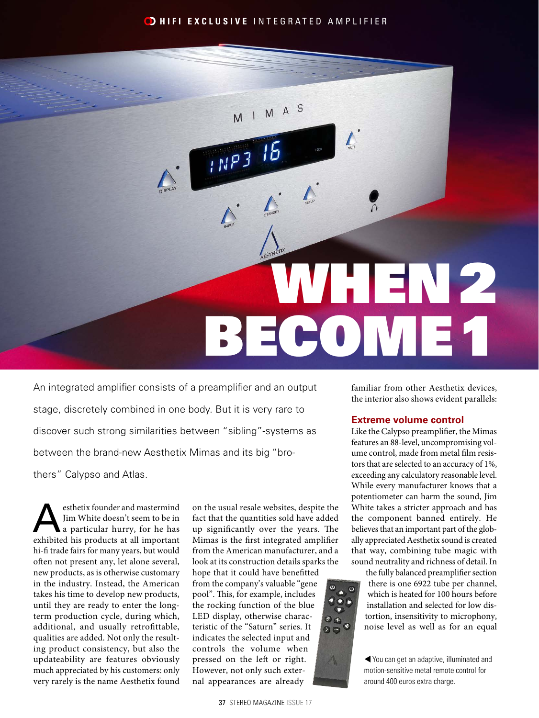## **D HIFI EXCLUSIVE** INTEGRATED AMPLIFIER

 $M A S$ 

· LINP3

# WHEN2 BECOME1

An integrated amplifier consists of a preamplifier and an output stage, discretely combined in one body. But it is very rare to discover such strong similarities between "sibling"-systems as between the brand-new Aesthetix Mimas and its big "brothers" Calypso and Atlas.

esthetix founder and mastermind<br>
Jim White doesn't seem to be in<br>
a particular hurry, for he has<br>
arbibited his products at all important Jim White doesn't seem to be in exhibited his products at all important hi-fi trade fairs for many years, but would often not present any, let alone several, new products, as is otherwise customary in the industry. Instead, the American takes his time to develop new products, until they are ready to enter the longterm production cycle, during which, additional, and usually retrofittable, qualities are added. Not only the resulting product consistency, but also the updateability are features obviously much appreciated by his customers: only very rarely is the name Aesthetix found

on the usual resale websites, despite the fact that the quantities sold have added up significantly over the years. The Mimas is the first integrated amplifier from the American manufacturer, and a look at its construction details sparks the

hope that it could have benefitted from the company's valuable "gene pool". This, for example, includes the rocking function of the blue LED display, otherwise characteristic of the "Saturn" series. It indicates the selected input and controls the volume when pressed on the left or right. However, not only such external appearances are already

37 STEREO MAGAZINE ISSUE 17

familiar from other Aesthetix devices, the interior also shows evident parallels:

### **Extreme volume control**

Like the Calypso preamplifier, the Mimas features an 88-level, uncompromising volume control, made from metal film resistors that are selected to an accuracy of 1%, exceeding any calculatory reasonable level. While every manufacturer knows that a potentiometer can harm the sound, Jim White takes a stricter approach and has the component banned entirely. He believes that an important part of the globally appreciated Aesthetix sound is created that way, combining tube magic with sound neutrality and richness of detail. In

the fully balanced preamplifier section there is one 6922 tube per channel, which is heated for 100 hours before installation and selected for low distortion, insensitivity to microphony, noise level as well as for an equal

You can get an adaptive, illuminated and motion-sensitive metal remote control for around 400 euros extra charge.

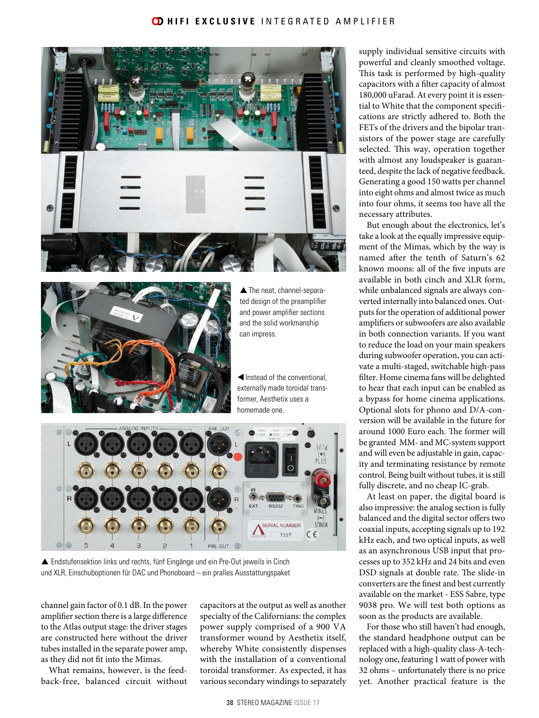### **CD HIFI EXCLUSIVE** INTEGRATED AMPLIFIER





▲ The neat, channel-separated design of the preamplifier and power amplifier sections and the solid workmanship can impress.

tInstead of the conventional, externally made toroidal transformer, Aesthetix uses a homemade one.



 Endstufensektion links und rechts, fünf Eingänge und ein Pre-Out jeweils in Cinch und XLR, Einschuboptionen für DAC und Phonoboard – ein pralles Ausstattungspaket

channel gain factor of 0.1 dB. In the power amplifier section there is a large difference to the Atlas output stage: the driver stages are constructed here without the driver tubes installed in the separate power amp, as they did not fit into the Mimas.

What remains, however, is the feedback-free, balanced circuit without capacitors at the output as well as another specialty of the Californians: the complex power supply comprised of a 900 VA transformer wound by Aesthetix itself, whereby White consistently dispenses with the installation of a conventional toroidal transformer. As expected, it has various secondary windings to separately

supply individual sensitive circuits with powerful and cleanly smoothed voltage. This task is performed by high-quality capacitors with a filter capacity of almost 180,000 uFarad. At every point it is essential to White that the component specifications are strictly adhered to. Both the FETs of the drivers and the bipolar transistors of the power stage are carefully selected. This way, operation together with almost any loudspeaker is guaranteed, despite the lack of negative feedback. Generating a good 150 watts per channel into eight ohms and almost twice as much into four ohms, it seems too have all the necessary attributes.

But enough about the electronics, let's take a look at the equally impressive equipment of the Mimas, which by the way is named after the tenth of Saturn's 62 known moons: all of the five inputs are available in both cinch and XLR form, while unbalanced signals are always converted internally into balanced ones. Outputs for the operation of additional power amplifiers or subwoofers are also available in both connection variants. If you want to reduce the load on your main speakers during subwoofer operation, you can activate a multi-staged, switchable high-pass filter. Home cinema fans will be delighted to hear that each input can be enabled as a bypass for home cinema applications. Optional slots for phono and D/A-conversion will be available in the future for around 1000 Euro each. The former will be granted MM- and MC-system support and will even be adjustable in gain, capacity and terminating resistance by remote control. Being built without tubes, it is still fully discrete, and no cheap IC-grab.

At least on paper, the digital board is also impressive: the analog section is fully balanced and the digital sector offers two coaxial inputs, accepting signals up to 192 kHz each, and two optical inputs, as well as an asynchronous USB input that processes up to 352 kHz and 24 bits and even DSD signals at double rate. The slide-in converters are the finest and best currently available on the market - ESS Sabre, type 9038 pro. We will test both options as soon as the products are available.

For those who still haven't had enough, the standard headphone output can be replaced with a high-quality class-A-technology one, featuring 1 watt of power with 32 ohms – unfortunately there is no price yet. Another practical feature is the